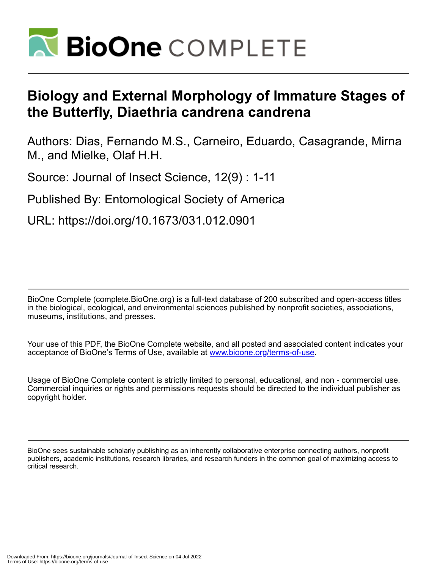

# **Biology and External Morphology of Immature Stages of the Butterfly, Diaethria candrena candrena**

Authors: Dias, Fernando M.S., Carneiro, Eduardo, Casagrande, Mirna M., and Mielke, Olaf H.H.

Source: Journal of Insect Science, 12(9) : 1-11

Published By: Entomological Society of America

URL: https://doi.org/10.1673/031.012.0901

BioOne Complete (complete.BioOne.org) is a full-text database of 200 subscribed and open-access titles in the biological, ecological, and environmental sciences published by nonprofit societies, associations, museums, institutions, and presses.

Your use of this PDF, the BioOne Complete website, and all posted and associated content indicates your acceptance of BioOne's Terms of Use, available at www.bioone.org/terms-of-use.

Usage of BioOne Complete content is strictly limited to personal, educational, and non - commercial use. Commercial inquiries or rights and permissions requests should be directed to the individual publisher as copyright holder.

BioOne sees sustainable scholarly publishing as an inherently collaborative enterprise connecting authors, nonprofit publishers, academic institutions, research libraries, and research funders in the common goal of maximizing access to critical research.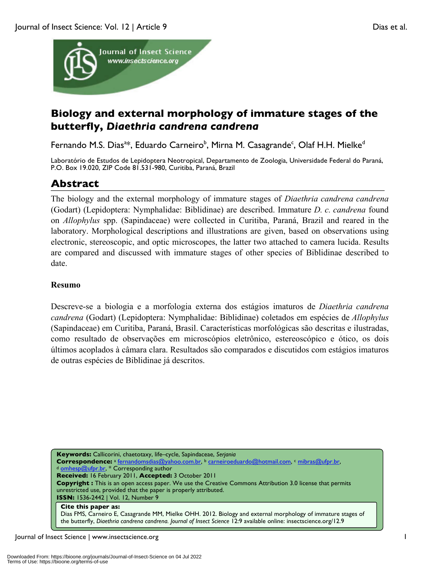

# **Biology and external morphology of immature stages of the butterfly,** *Diaethria candrena candrena*

Fernando M.S. Dias<sup>a\*,</sup>, Eduardo Carneiro<sup>b</sup>, Mirna M. Casagrande<sup>c</sup>, Olaf H.H. Mielke<sup>d</sup>

Laboratório de Estudos de Lepidoptera Neotropical, Departamento de Zoologia, Universidade Federal do Paraná, P.O. Box 19.020, ZIP Code 81.531-980, Curitiba, Paraná, Brazil

## **Abstract**

The biology and the external morphology of immature stages of *Diaethria candrena candrena*  (Godart) (Lepidoptera: Nymphalidae: Biblidinae) are described. Immature *D. c. candrena* found on *Allophylus* spp. (Sapindaceae) were collected in Curitiba, Paraná, Brazil and reared in the laboratory. Morphological descriptions and illustrations are given, based on observations using electronic, stereoscopic, and optic microscopes, the latter two attached to camera lucida. Results are compared and discussed with immature stages of other species of Biblidinae described to date.

## **Resumo**

Descreve-se a biologia e a morfologia externa dos estágios imaturos de *Diaethria candrena candrena* (Godart) (Lepidoptera: Nymphalidae: Biblidinae) coletados em espécies de *Allophylus* (Sapindaceae) em Curitiba, Paraná, Brasil. Características morfológicas são descritas e ilustradas, como resultado de observações em microscópios eletrônico, estereoscópico e ótico, os dois últimos acoplados à câmara clara. Resultados são comparados e discutidos com estágios imaturos de outras espécies de Biblidinae já descritos.

**Keywords:** Callicorini, chaetotaxy, life–cycle, Sapindaceae, *Serjania* **Correspondence:** <sup>a</sup> fernandomsdias@yahoo.com.br, <sup>b</sup> carneiroeduardo@hotmail.com, <sup>c</sup> mibras@ufpr.br, <sup>d</sup> omhesp@ufpr.br, \* Corresponding author **Received:** 16 February 2011, **Accepted:** 3 October 2011 **Copyright :** This is an open access paper. We use the Creative Commons Attribution 3.0 license that permits unrestricted use, provided that the paper is properly attributed. **ISSN:** 1536-2442 | Vol. 12, Number 9 **Cite this paper as:**

Dias FMS, Carneiro E, Casagrande MM, Mielke OHH. 2012. Biology and external morphology of immature stages of the butterfly, *Diaethria candrena candrena. Journal of Insect Science* 12:9 available online: insectscience.org/12.9

Journal of Insect Science | www.insectscience.org 1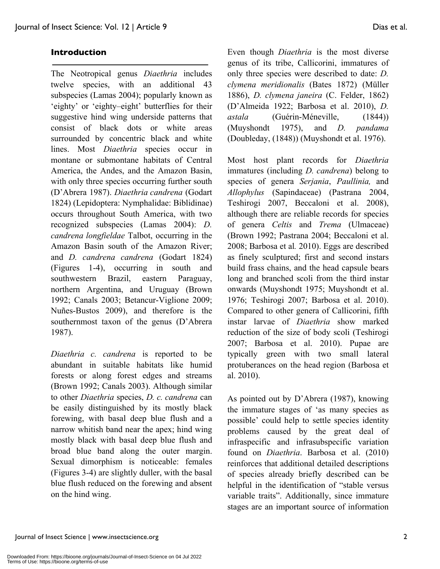### **Introduction**

The Neotropical genus *Diaethria* includes twelve species, with an additional 43 subspecies (Lamas 2004); popularly known as 'eighty' or 'eighty–eight' butterflies for their suggestive hind wing underside patterns that consist of black dots or white areas surrounded by concentric black and white lines. Most *Diaethria* species occur in montane or submontane habitats of Central America, the Andes, and the Amazon Basin, with only three species occurring further south (D'Abrera 1987). *Diaethria candrena* (Godart 1824) (Lepidoptera: Nymphalidae: Biblidinae) occurs throughout South America, with two recognized subspecies (Lamas 2004): *D. candrena longfieldae* Talbot, occurring in the Amazon Basin south of the Amazon River; and *D. candrena candrena* (Godart 1824) (Figures 1-4), occurring in south and southwestern Brazil, eastern Paraguay, northern Argentina, and Uruguay (Brown 1992; Canals 2003; Betancur-Viglione 2009; Nuñes-Bustos 2009), and therefore is the southernmost taxon of the genus (D'Abrera 1987).

*Diaethria c. candrena* is reported to be abundant in suitable habitats like humid forests or along forest edges and streams (Brown 1992; Canals 2003). Although similar to other *Diaethria* species, *D. c. candrena* can be easily distinguished by its mostly black forewing, with basal deep blue flush and a narrow whitish band near the apex; hind wing mostly black with basal deep blue flush and broad blue band along the outer margin. Sexual dimorphism is noticeable: females (Figures 3-4) are slightly duller, with the basal blue flush reduced on the forewing and absent on the hind wing.

Even though *Diaethria* is the most diverse genus of its tribe, Callicorini, immatures of only three species were described to date: *D. clymena meridionalis* (Bates 1872) (Müller 1886), *D. clymena janeira* (C. Felder, 1862) (D'Almeida 1922; Barbosa et al. 2010), *D. astala* (Guérin-Méneville, (1844)) (Muyshondt 1975), and *D. pandama*  (Doubleday, (1848)) (Muyshondt et al. 1976).

Most host plant records for *Diaethria* immatures (including *D. candrena*) belong to species of genera *Serjania*, *Paullinia,* and *Allophylus* (Sapindaceae) (Pastrana 2004, Teshirogi 2007, Beccaloni et al. 2008), although there are reliable records for species of genera *Celtis* and *Trema* (Ulmaceae) (Brown 1992; Pastrana 2004; Beccaloni et al. 2008; Barbosa et al*.* 2010). Eggs are described as finely sculptured; first and second instars build frass chains, and the head capsule bears long and branched scoli from the third instar onwards (Muyshondt 1975; Muyshondt et al. 1976; Teshirogi 2007; Barbosa et al. 2010). Compared to other genera of Callicorini, fifth instar larvae of *Diaethria* show marked reduction of the size of body scoli (Teshirogi 2007; Barbosa et al. 2010). Pupae are typically green with two small lateral protuberances on the head region (Barbosa et al. 2010).

As pointed out by D'Abrera (1987), knowing the immature stages of 'as many species as possible' could help to settle species identity problems caused by the great deal of infraspecific and infrasubspecific variation found on *Diaethria*. Barbosa et al. (2010) reinforces that additional detailed descriptions of species already briefly described can be helpful in the identification of "stable versus variable traits". Additionally, since immature stages are an important source of information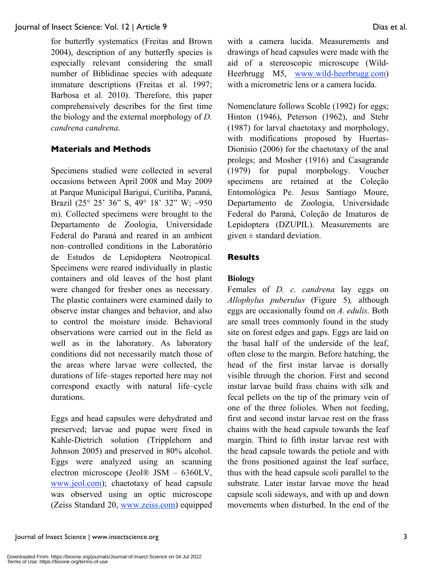for butterfly systematics (Freitas and Brown 2004), description of any butterfly species is especially relevant considering the small number of Biblidinae species with adequate immature descriptions (Freitas et al. 1997; Barbosa et al*.* 2010). Therefore, this paper comprehensively describes for the first time the biology and the external morphology of *D. candrena candrena*.

## **Materials and Methods**

Specimens studied were collected in several occasions between April 2008 and May 2009 at Parque Municipal Barigui, Curitiba, Paraná, Brazil (25° 25' 36" S, 49° 18' 32" W; *~*950 m). Collected specimens were brought to the Departamento de Zoologia, Universidade Federal do Paraná and reared in an ambient non–controlled conditions in the Laboratório de Estudos de Lepidoptera Neotropical. Specimens were reared individually in plastic containers and old leaves of the host plant were changed for fresher ones as necessary. The plastic containers were examined daily to observe instar changes and behavior, and also to control the moisture inside. Behavioral observations were carried out in the field as well as in the laboratory. As laboratory conditions did not necessarily match those of the areas where larvae were collected, the durations of life–stages reported here may not correspond exactly with natural life–cycle durations.

Eggs and head capsules were dehydrated and preserved; larvae and pupae were fixed in Kahle-Dietrich solution (Tripplehorn and Johnson 2005) and preserved in 80% alcohol. Eggs were analyzed using an scanning electron microscope (Jeol® JSM – 6360LV, www.jeol.com); chaetotaxy of head capsule was observed using an optic microscope (Zeiss Standard 20, www.zeiss.com) equipped with a camera lucida. Measurements and drawings of head capsules were made with the aid of a stereoscopic microscope (Wild-Heerbrugg M5, www.wild-heerbrugg.com) with a micrometric lens or a camera lucida.

Nomenclature follows Scoble (1992) for eggs; Hinton (1946), Peterson (1962), and Stehr (1987) for larval chaetotaxy and morphology, with modifications proposed by Huertas-Dionisio (2006) for the chaetotaxy of the anal prolegs; and Mosher (1916) and Casagrande (1979) for pupal morphology. Voucher specimens are retained at the Coleção Entomológica Pe. Jesus Santiago Moure, Departamento de Zoologia, Universidade Federal do Paraná, Coleção de Imaturos de Lepidoptera (DZUPIL). Measurements are given  $\pm$  standard deviation.

## **Results**

## **Biology**

Females of *D. c. candrena* lay eggs on *Allophylus puberulus* (Figure 5)*,* although eggs are occasionally found on *A. edulis.* Both are small trees commonly found in the study site on forest edges and gaps. Eggs are laid on the basal half of the underside of the leaf, often close to the margin. Before hatching, the head of the first instar larvae is dorsally visible through the chorion. First and second instar larvae build frass chains with silk and fecal pellets on the tip of the primary vein of one of the three folioles. When not feeding, first and second instar larvae rest on the frass chains with the head capsule towards the leaf margin. Third to fifth instar larvae rest with the head capsule towards the petiole and with the frons positioned against the leaf surface, thus with the head capsule scoli parallel to the substrate. Later instar larvae move the head capsule scoli sideways, and with up and down movements when disturbed. In the end of the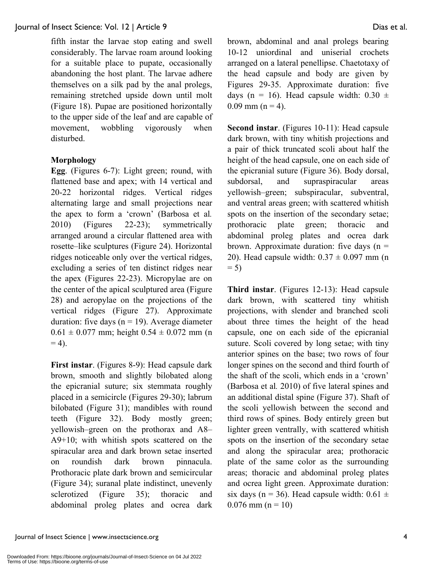fifth instar the larvae stop eating and swell considerably. The larvae roam around looking for a suitable place to pupate, occasionally abandoning the host plant. The larvae adhere themselves on a silk pad by the anal prolegs, remaining stretched upside down until molt (Figure 18). Pupae are positioned horizontally to the upper side of the leaf and are capable of movement, wobbling vigorously when disturbed.

## **Morphology**

**Egg**. (Figures 6-7): Light green; round, with flattened base and apex; with 14 vertical and 20-22 horizontal ridges. Vertical ridges alternating large and small projections near the apex to form a 'crown' (Barbosa et al*.* 2010) (Figures 22-23); symmetrically arranged around a circular flattened area with rosette–like sculptures (Figure 24). Horizontal ridges noticeable only over the vertical ridges, excluding a series of ten distinct ridges near the apex (Figures 22-23). Micropylae are on the center of the apical sculptured area (Figure 28) and aeropylae on the projections of the vertical ridges (Figure 27). Approximate duration: five days ( $n = 19$ ). Average diameter  $0.61 \pm 0.077$  mm; height  $0.54 \pm 0.072$  mm (n)  $= 4$ ).

**First instar**. (Figures 8-9): Head capsule dark brown, smooth and slightly bilobated along the epicranial suture; six stemmata roughly placed in a semicircle (Figures 29-30); labrum bilobated (Figure 31); mandibles with round teeth (Figure 32). Body mostly green; yellowish–green on the prothorax and A8– A9+10; with whitish spots scattered on the spiracular area and dark brown setae inserted on roundish dark brown pinnacula. Prothoracic plate dark brown and semicircular (Figure 34); suranal plate indistinct, unevenly sclerotized (Figure 35); thoracic and abdominal proleg plates and ocrea dark brown, abdominal and anal prolegs bearing 10-12 uniordinal and uniserial crochets arranged on a lateral penellipse. Chaetotaxy of the head capsule and body are given by Figures 29-35. Approximate duration: five days (n = 16). Head capsule width:  $0.30 \pm$  $0.09$  mm (n = 4).

**Second instar**. (Figures 10-11): Head capsule dark brown, with tiny whitish projections and a pair of thick truncated scoli about half the height of the head capsule, one on each side of the epicranial suture (Figure 36). Body dorsal, subdorsal, and supraspiracular areas yellowish–green; subspiracular, subventral, and ventral areas green; with scattered whitish spots on the insertion of the secondary setae; prothoracic plate green; thoracic and abdominal proleg plates and ocrea dark brown. Approximate duration: five days  $(n =$ 20). Head capsule width:  $0.37 \pm 0.097$  mm (n)  $= 5$ 

**Third instar**. (Figures 12-13): Head capsule dark brown, with scattered tiny whitish projections, with slender and branched scoli about three times the height of the head capsule, one on each side of the epicranial suture. Scoli covered by long setae; with tiny anterior spines on the base; two rows of four longer spines on the second and third fourth of the shaft of the scoli, which ends in a 'crown' (Barbosa et al*.* 2010) of five lateral spines and an additional distal spine (Figure 37). Shaft of the scoli yellowish between the second and third rows of spines. Body entirely green but lighter green ventrally, with scattered whitish spots on the insertion of the secondary setae and along the spiracular area; prothoracic plate of the same color as the surrounding areas; thoracic and abdominal proleg plates and ocrea light green. Approximate duration: six days (n = 36). Head capsule width:  $0.61 \pm$  $0.076$  mm (n = 10)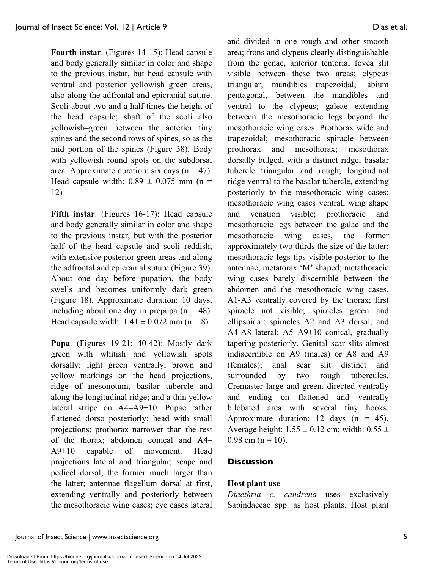**Fourth instar**. (Figures 14-15): Head capsule and body generally similar in color and shape to the previous instar, but head capsule with ventral and posterior yellowish–green areas, also along the adfrontal and epicranial suture. Scoli about two and a half times the height of the head capsule; shaft of the scoli also yellowish–green between the anterior tiny spines and the second rows of spines, so as the mid portion of the spines (Figure 38). Body with yellowish round spots on the subdorsal area. Approximate duration: six days  $(n = 47)$ . Head capsule width:  $0.89 \pm 0.075$  mm (n = 12)

**Fifth instar**. (Figures 16-17): Head capsule and body generally similar in color and shape to the previous instar, but with the posterior half of the head capsule and scoli reddish; with extensive posterior green areas and along the adfrontal and epicranial suture (Figure 39). About one day before pupation, the body swells and becomes uniformly dark green (Figure 18). Approximate duration: 10 days, including about one day in prepupa  $(n = 48)$ . Head capsule width:  $1.41 \pm 0.072$  mm (n = 8).

**Pupa**. (Figures 19-21; 40-42): Mostly dark green with whitish and yellowish spots dorsally; light green ventrally; brown and yellow markings on the head projections, ridge of mesonotum, basilar tubercle and along the longitudinal ridge; and a thin yellow lateral stripe on A4–A9+10. Pupae rather flattened dorso–posteriorly; head with small projections; prothorax narrower than the rest of the thorax; abdomen conical and A4– A9+10 capable of movement. Head projections lateral and triangular; scape and pedicel dorsal, the former much larger than the latter; antennae flagellum dorsal at first, extending ventrally and posteriorly between the mesothoracic wing cases; eye cases lateral and divided in one rough and other smooth area; frons and clypeus clearly distinguishable from the genae, anterior tentorial fovea slit visible between these two areas; clypeus triangular; mandibles trapezoidal; labium pentagonal, between the mandibles and ventral to the clypeus; galeae extending between the mesothoracic legs beyond the mesothoracic wing cases. Prothorax wide and trapezoidal; mesothoracic spiracle between prothorax and mesothorax; mesothorax dorsally bulged, with a distinct ridge; basalar tubercle triangular and rough; longitudinal ridge ventral to the basalar tubercle, extending posteriorly to the mesothoracic wing cases; mesothoracic wing cases ventral, wing shape and venation visible; prothoracic and mesothoracic legs between the galae and the mesothoracic wing cases, the former approximately two thirds the size of the latter; mesothoracic legs tips visible posterior to the antennae; metatorax 'M' shaped; metathoracic wing cases barely discernible between the abdomen and the mesothoracic wing cases. A1-A3 ventrally covered by the thorax; first spiracle not visible; spiracles green and ellipsoidal; spiracles A2 and A3 dorsal, and A4-A8 lateral; A5–A9+10 conical, gradually tapering posteriorly. Genital scar slits almost indiscernible on A9 (males) or A8 and A9 (females); anal scar slit distinct and surrounded by two rough tubercules. Cremaster large and green, directed ventrally and ending on flattened and ventrally bilobated area with several tiny hooks. Approximate duration: 12 days  $(n = 45)$ . Average height:  $1.55 \pm 0.12$  cm; width:  $0.55 \pm 1.5$  $0.98$  cm (n = 10).

## **Discussion**

## **Host plant use**

*Diaethria c. candrena* uses exclusively Sapindaceae spp. as host plants. Host plant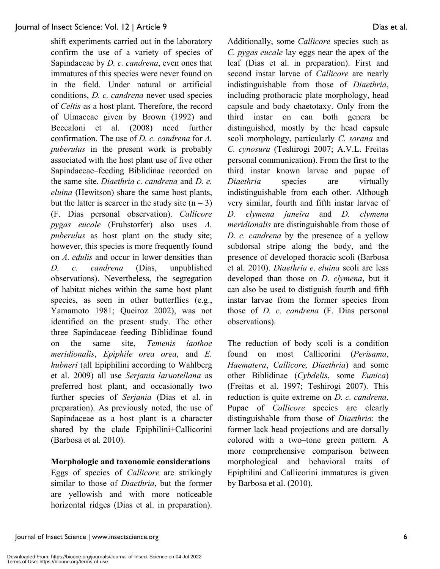shift experiments carried out in the laboratory confirm the use of a variety of species of Sapindaceae by *D. c. candrena*, even ones that immatures of this species were never found on in the field. Under natural or artificial conditions, *D. c. candrena* never used species of *Celtis* as a host plant. Therefore, the record of Ulmaceae given by Brown (1992) and Beccaloni et al. (2008) need further confirmation. The use of *D. c. candrena* for *A. puberulus* in the present work is probably associated with the host plant use of five other Sapindaceae–feeding Biblidinae recorded on the same site. *Diaethria c. candrena* and *D. e. eluina* (Hewitson) share the same host plants, but the latter is scarcer in the study site  $(n = 3)$ (F. Dias personal observation). *Callicore pygas eucale* (Fruhstorfer) also uses *A. puberulus* as host plant on the study site; however, this species is more frequently found on *A. edulis* and occur in lower densities than *D. c. candrena* (Dias, unpublished observations). Nevertheless, the segregation of habitat niches within the same host plant species, as seen in other butterflies (e.g., Yamamoto 1981; Queiroz 2002), was not identified on the present study. The other three Sapindaceae–feeding Biblidinae found on the same site, *Temenis laothoe meridionalis*, *Epiphile orea orea*, and *E. hubneri* (all Epiphilini according to Wahlberg et al. 2009) all use *Serjania laruotellana* as preferred host plant, and occasionally two further species of *Serjania* (Dias et al. in preparation). As previously noted, the use of Sapindaceae as a host plant is a character shared by the clade Epiphilini+Callicorini (Barbosa et al*.* 2010).

#### **Morphologic and taxonomic considerations**

Eggs of species of *Callicore* are strikingly similar to those of *Diaethria*, but the former are yellowish and with more noticeable horizontal ridges (Dias et al. in preparation). Additionally, some *Callicore* species such as *C. pygas eucale* lay eggs near the apex of the leaf (Dias et al. in preparation). First and second instar larvae of *Callicore* are nearly indistinguishable from those of *Diaethria*, including prothoracic plate morphology, head capsule and body chaetotaxy. Only from the third instar on can both genera be distinguished, mostly by the head capsule scoli morphology, particularly *C. sorana* and *C. cynosura* (Teshirogi 2007; A.V.L. Freitas personal communication). From the first to the third instar known larvae and pupae of *Diaethria* species are virtually indistinguishable from each other. Although very similar, fourth and fifth instar larvae of *D. clymena janeira* and *D. clymena meridionalis* are distinguishable from those of *D. c. candrena* by the presence of a yellow subdorsal stripe along the body, and the presence of developed thoracic scoli (Barbosa et al. 2010). *Diaethria e*. *eluina* scoli are less developed than those on *D. clymena*, but it can also be used to distiguish fourth and fifth instar larvae from the former species from those of *D. c. candrena* (F. Dias personal observations).

The reduction of body scoli is a condition found on most Callicorini (*Perisama*, *Haematera*, *Callicore, Diaethria*) and some other Biblidinae (*Cybdelis*, some *Eunica*) (Freitas et al. 1997; Teshirogi 2007). This reduction is quite extreme on *D. c. candrena*. Pupae of *Callicore* species are clearly distinguishable from those of *Diaethria*: the former lack head projections and are dorsally colored with a two–tone green pattern. A more comprehensive comparison between morphological and behavioral traits of Epiphilini and Callicorini immatures is given by Barbosa et al. (2010).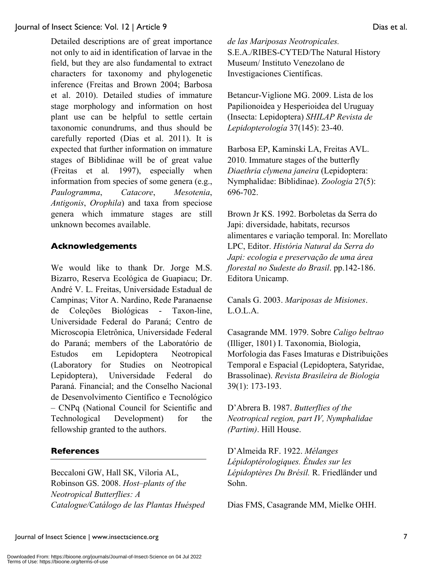Detailed descriptions are of great importance not only to aid in identification of larvae in the field, but they are also fundamental to extract characters for taxonomy and phylogenetic inference (Freitas and Brown 2004; Barbosa et al. 2010). Detailed studies of immature stage morphology and information on host plant use can be helpful to settle certain taxonomic conundrums, and thus should be carefully reported (Dias et al. 2011). It is expected that further information on immature stages of Biblidinae will be of great value (Freitas et al*.* 1997), especially when information from species of some genera (e.g., *Paulogramma*, *Catacore*, *Mesotenia*, *Antigonis*, *Orophila*) and taxa from speciose genera which immature stages are still unknown becomes available.

## **Acknowledgements**

We would like to thank Dr. Jorge M.S. Bizarro, Reserva Ecológica de Guapiacu; Dr. André V. L. Freitas, Universidade Estadual de Campinas; Vitor A. Nardino, Rede Paranaense de Coleções Biológicas - Taxon-line, Universidade Federal do Paraná; Centro de Microscopia Eletrônica, Universidade Federal do Paraná; members of the Laboratório de Estudos em Lepidoptera Neotropical (Laboratory for Studies on Neotropical Lepidoptera), Universidade Federal do Paraná. Financial; and the Conselho Nacional de Desenvolvimento Científico e Tecnológico – CNPq (National Council for Scientific and Technological Development) for the fellowship granted to the authors.

## **References**

Beccaloni GW, Hall SK, Viloria AL, Robinson GS. 2008. *Host–plants of the Neotropical Butterflies: A Catalogue/Catálogo de las Plantas Huésped*  *de las Mariposas Neotropicales.* S.E.A./RIBES-CYTED/The Natural History Museum/ Instituto Venezolano de Investigaciones Científicas.

Betancur-Viglione MG. 2009. Lista de los Papilionoidea y Hesperioidea del Uruguay (Insecta: Lepidoptera) *SHILAP Revista de Lepidopterología* 37(145): 23-40.

Barbosa EP, Kaminski LA, Freitas AVL. 2010. Immature stages of the butterfly *Diaethria clymena janeira* (Lepidoptera: Nymphalidae: Biblidinae). *Zoologia* 27(5): 696-702.

Brown Jr KS. 1992. Borboletas da Serra do Japi: diversidade, habitats, recursos alimentares e variação temporal. In: Morellato LPC, Editor. *História Natural da Serra do Japi: ecologia e preservação de uma área florestal no Sudeste do Brasil*. pp.142-186. Editora Unicamp.

Canals G. 2003. *Mariposas de Misiones*. L.O.L.A.

Casagrande MM. 1979. Sobre *Caligo beltrao* (Illiger, 1801) I. Taxonomia, Biologia, Morfologia das Fases Imaturas e Distribuições Temporal e Espacial (Lepidoptera, Satyridae, Brassolinae). *Revista Brasileira de Biologia* 39(1): 173-193.

D'Abrera B. 1987. *Butterflies of the Neotropical region, part IV, Nymphalidae (Partim)*. Hill House.

D'Almeida RF. 1922. *Mélanges Lépidoptérologiques. Études sur les Lépidoptères Du Brésil.* R. Friedländer und Sohn.

Dias FMS, Casagrande MM, Mielke OHH.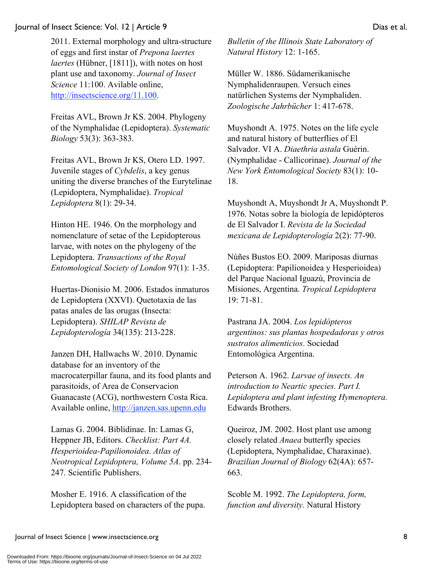http://insectscience.org/11.100.

Freitas AVL, Brown Jr KS. 2004. Phylogeny of the Nymphalidae (Lepidoptera). *Systematic Biology* 53(3): 363-383.

Freitas AVL, Brown Jr KS, Otero LD. 1997. Juvenile stages of *Cybdelis*, a key genus uniting the diverse branches of the Eurytelinae (Lepidoptera, Nymphalidae). *Tropical Lepidoptera* 8(1): 29-34.

Hinton HE. 1946. On the morphology and nomenclature of setae of the Lepidopterous larvae, with notes on the phylogeny of the Lepidoptera. *Transactions of the Royal Entomological Society of London* 97(1): 1-35.

Huertas-Dionisio M. 2006. Estados inmaturos de Lepidoptera (XXVI). Quetotaxia de las patas anales de las orugas (Insecta: Lepidoptera). *SHILAP Revista de Lepidopterología* 34(135): 213-228.

Janzen DH, Hallwachs W. 2010. Dynamic database for an inventory of the macrocaterpillar fauna, and its food plants and parasitoids, of Area de Conservacion Guanacaste (ACG), northwestern Costa Rica. Available online, http://janzen.sas.upenn.edu

Lamas G. 2004. Biblidinae. In: Lamas G, Heppner JB, Editors. *Checklist: Part 4A. Hesperioidea-Papilionoidea*. *Atlas of Neotropical Lepidoptera, Volume 5A*. pp. 234- 247. Scientific Publishers.

Mosher E. 1916. A classification of the Lepidoptera based on characters of the pupa. *Bulletin of the Illinois State Laboratory of Natural History* 12: 1-165.

Müller W. 1886. Südamerikanische Nymphalidenraupen. Versuch eines natürlichen Systems der Nymphaliden. *Zoologische Jahrbücher* 1: 417-678.

Muyshondt A. 1975. Notes on the life cycle and natural history of butterflies of El Salvador. VI A. *Diaethria astala* Guérin. (Nymphalidae - Callicorinae). *Journal of the New York Entomological Society* 83(1): 10- 18.

Muyshondt A, Muyshondt Jr A, Muyshondt P. 1976. Notas sobre la biología de lepidópteros de El Salvador I. *Revista de la Sociedad mexicana de Lepidopterología* 2(2): 77-90.

Núñes Bustos EO. 2009. Mariposas diurnas (Lepidoptera: Papilionoidea y Hesperioidea) del Parque Nacional Iguazú, Provincia de Misiones, Argentina. *Tropical Lepidoptera* 19: 71-81.

Pastrana JA. 2004. *Los lepidópteros argentinos: sus plantas hospedadoras y otros sustratos alimenticios*. Sociedad Entomológica Argentina.

Peterson A. 1962. *Larvae of insects. An introduction to Neartic species. Part I. Lepidoptera and plant infesting Hymenoptera.*  Edwards Brothers.

Queiroz, JM. 2002. Host plant use among closely related *Anaea* butterfly species (Lepidoptera, Nymphalidae, Charaxinae). *Brazilian Journal of Biology* 62(4A): 657- 663.

Scoble M. 1992. *The Lepidoptera, form, function and diversity.* Natural History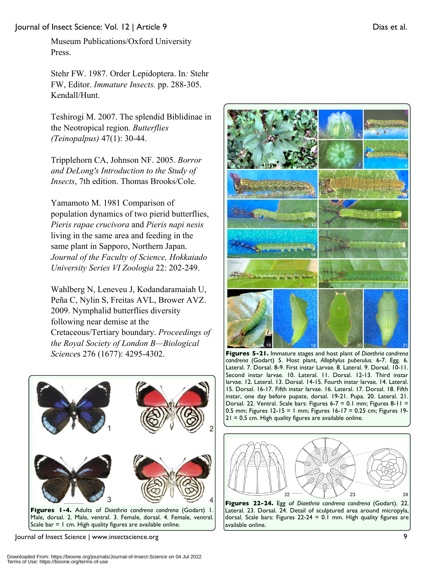Museum Publications/Oxford University Press.

Stehr FW. 1987. Order Lepidoptera. In*:* Stehr FW, Editor. *Immature Insects.* pp. 288-305. Kendall/Hunt.

Teshirogi M. 2007. The splendid Biblidinae in the Neotropical region. *Butterflies (Teinopalpus)* 47(1): 30-44.

Tripplehorn CA, Johnson NF. 2005. *Borror and DeLong's Introduction to the Study of Insects*, 7th edition. Thomas Brooks/Cole.

Yamamoto M. 1981 Comparison of population dynamics of two pierid butterflies, *Pieris rapae crucivora* and *Pieris napi nesis* living in the same area and feeding in the same plant in Sapporo, Northern Japan. *Journal of the Faculty of Science, Hokkaiado University Series VI Zoologia* 22: 202-249.

Wahlberg N, Leneveu J, Kodandaramaiah U, Peña C, Nylin S, Freitas AVL, Brower AVZ. 2009. Nymphalid butterflies diversity following near demise at the Cretaceous/Tertiary boundary. *Proceedings of the Royal Society of London B—Biological Science*s 276 (1677): 4295-4302.



Male, dorsal. 2. Male, ventral. 3. Female, dorsal. 4. Female, ventral. Scale bar  $= 1$  cm. High quality figures are available online.

Journal of Insect Science | www.insectscience.org 9



**Figures 5-21.** Immature stages and host plant of *Diaethria candrena candrena* (Godart) 5. Host plant, *Allophylus puberulus.* 6-7. Egg. 6. Lateral. 7. Dorsal. 8-9. First instar Larvae. 8. Lateral. 9. Dorsal. 10-11. Second instar larvae. 10. Lateral. 11. Dorsal. 12-13. Third instar larvae. 12. Lateral. 13. Dorsal. 14-15. Fourth instar larvae. 14. Lateral. 15. Dorsal. 16-17. Fifth instar larvae. 16. Lateral. 17. Dorsal. 18. Fifth instar, one day before pupate, dorsal. 19-21. Pupa. 20. Lateral. 21. Dorsal. 22. Ventral. Scale bars: Figures 6-7 = 0.1 mm; Figures 8-11 = 0.5 mm; Figures 12-15 = 1 mm; Figures 16-17 = 0.25 cm; Figures 19-  $21 = 0.5$  cm. High quality figures are available online.



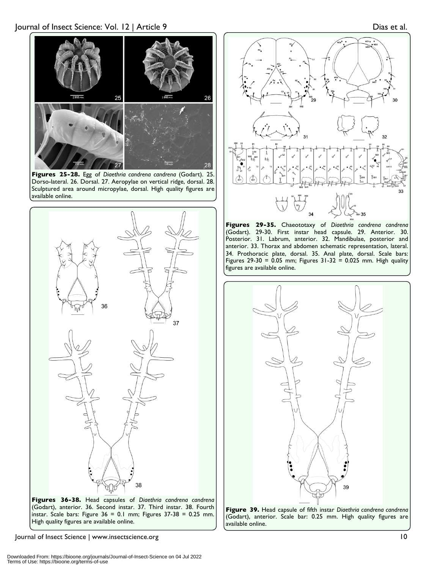

**Figures 25-28.** Egg of *Diaethria candrena candrena* (Godart). 25. Dorso-lateral. 26. Dorsal. 27. Aeropylae on vertical ridge, dorsal. 28. Sculptured area around micropylae, dorsal. High quality figures are available online.





Journal of Insect Science | www.insectscience.org 10



**Figures 29-35.** Chaeototaxy of *Diaethria candrena candrena*  (Godart). 29-30. First instar head capsule. 29. Anterior. 30. Posterior. 31. Labrum, anterior. 32. Mandibulae, posterior and anterior. 33. Thorax and abdomen schematic representation, lateral. 34. Prothoracic plate, dorsal. 35. Anal plate, dorsal. Scale bars: Figures 29-30 =  $0.05$  mm; Figures 31-32 = 0.025 mm. High quality figures are available online.